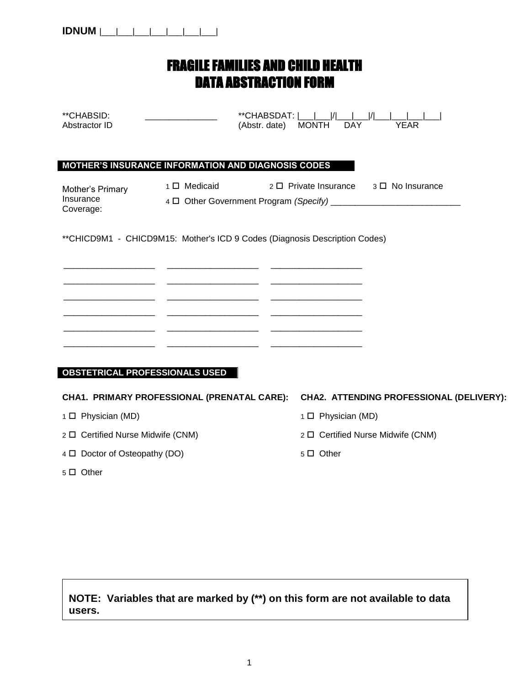| <b>IDNUM</b> |  |  |  |
|--------------|--|--|--|
|              |  |  |  |

#### FRAGILE FAMILIES AND CHILD HEALTH DATA ABSTRACTION FORM

| **CHABSID:<br>Abstractor ID                | **CHABSDAT:            <br>(Abstr. date) MONTH                             | $\mathcal{U}$<br>DAY                   | <b>YEAR</b>                              |
|--------------------------------------------|----------------------------------------------------------------------------|----------------------------------------|------------------------------------------|
|                                            | MOTHER'S INSURANCE INFORMATION AND DIAGNOSIS CODES                         |                                        |                                          |
| Mother's Primary<br>Insurance<br>Coverage: | 1 O Medicaid                                                               | 2 □ Private Insurance 3 □ No Insurance |                                          |
|                                            | **CHICD9M1 - CHICD9M15: Mother's ICD 9 Codes (Diagnosis Description Codes) |                                        |                                          |
|                                            |                                                                            |                                        |                                          |
|                                            |                                                                            |                                        |                                          |
|                                            | <u> 2000 - Andrea Andrew Maria (b. 1989)</u>                               |                                        |                                          |
| <b>OBSTETRICAL PROFESSIONALS USED</b>      |                                                                            |                                        |                                          |
|                                            | CHA1. PRIMARY PROFESSIONAL (PRENATAL CARE):                                |                                        | CHA2. ATTENDING PROFESSIONAL (DELIVERY): |
| 1 □ Physician (MD)                         |                                                                            | 1 □ Physician (MD)                     |                                          |
| 2 □ Certified Nurse Midwife (CNM)          |                                                                            | 2 □ Certified Nurse Midwife (CNM)      |                                          |
| 4 D Doctor of Osteopathy (DO)              |                                                                            | 5 D Other                              |                                          |

5  $\Box$  Other

**NOTE: Variables that are marked by (\*\*) on this form are not available to data users.**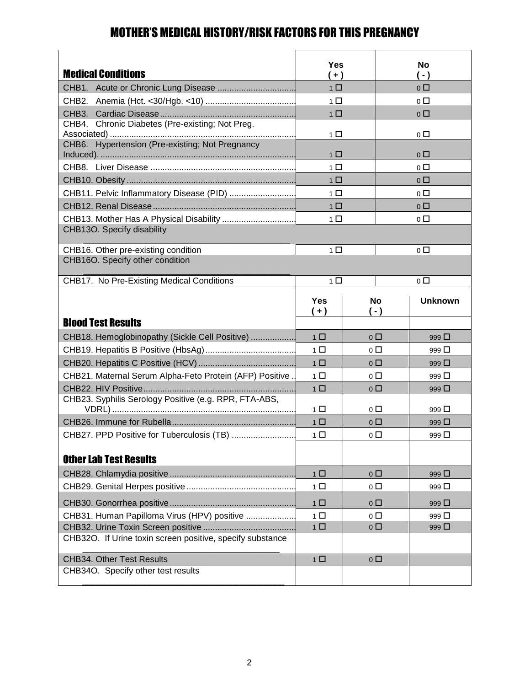#### MOTHER'S MEDICAL HISTORY/RISK FACTORS FOR THIS PREGNANCY

| <b>Medical Conditions</b>                                              | <b>Yes</b><br>$(+)$ |                               |       | <b>No</b><br>$(-)$ |
|------------------------------------------------------------------------|---------------------|-------------------------------|-------|--------------------|
|                                                                        | 1 <sup>1</sup>      |                               |       | 0 <sub>0</sub>     |
| CHB <sub>2</sub>                                                       | 1 <sup>1</sup>      |                               |       | $0\Box$            |
| CHB3.                                                                  | $1 \Box$            |                               |       | $0\Box$            |
| Chronic Diabetes (Pre-existing; Not Preg.<br>CHB4.                     | 1 <sup>1</sup>      |                               |       | $0\Box$            |
| CHB6. Hypertension (Pre-existing; Not Pregnancy                        | 1 <sup>1</sup>      |                               |       | $0\Box$            |
|                                                                        | $1$ $\Box$          |                               |       | $0\Box$            |
|                                                                        | 1 <sup>1</sup>      |                               |       | $0\Box$            |
| CHB11. Pelvic Inflammatory Disease (PID)                               | $1\Box$             |                               |       | $0\Box$            |
|                                                                        | 1 <sup>1</sup>      |                               |       | $0\Box$            |
|                                                                        | 1 □                 |                               |       | $0\Box$            |
| CHB13O. Specify disability                                             |                     |                               |       |                    |
| CHB16. Other pre-existing condition                                    | 1 <sup>1</sup>      |                               |       | $0\Box$            |
| CHB16O. Specify other condition                                        |                     |                               |       |                    |
| CHB17. No Pre-Existing Medical Conditions                              | 1 <sup>1</sup>      |                               |       | $0\Box$            |
|                                                                        | <b>Yes</b><br>$(+)$ | <b>No</b>                     | $-$ ) | <b>Unknown</b>     |
| <b>Blood Test Results</b>                                              |                     |                               |       |                    |
| CHB18. Hemoglobinopathy (Sickle Cell Positive)                         | 1 <sup>1</sup>      | 0 <sub>0</sub>                |       | 999 $\square$      |
|                                                                        | 1 <sup>1</sup>      | $0\Box$                       |       | 999 □              |
|                                                                        | 1 <sup>1</sup>      | $\overline{0}$ $\Box$         |       |                    |
| CHB21. Maternal Serum Alpha-Feto Protein (AFP) Positive                |                     |                               |       | 999 $\square$      |
|                                                                        | 1 <sup>1</sup>      | $0\Box$                       |       | 999 $\Box$         |
|                                                                        | 1 <sup>1</sup>      | $\overline{0}$ $\Box$         |       | 999 $\square$      |
| CHB23. Syphilis Serology Positive (e.g. RPR, FTA-ABS,                  | $1$ $\Box$          | $\circ$ $\Box$                |       | 999 □              |
|                                                                        | $1$ $\Box$          | $\overline{0}$ $\Box$         |       | 999 $\Box$         |
| CHB27. PPD Positive for Tuberculosis (TB)                              | $1\Box$             | $\circ$ $\Box$                |       | 999 $\Box$         |
| <b>Other Lab Test Results</b>                                          |                     |                               |       |                    |
|                                                                        | $1 \Box$            | 0 <sub>0</sub>                |       | 999 $\square$      |
|                                                                        | $1 \Box$            | $\overline{0}$ $\overline{1}$ |       | 999 $\square$      |
|                                                                        | $1\Box$             | 0 <sub>0</sub>                |       | 999 □              |
| CHB31. Human Papilloma Virus (HPV) positive                            | $1$ $\Box$          | $0\Box$                       |       | 999 $\Box$         |
|                                                                        | $1$ $\Box$          | 0 <sub>0</sub>                |       | 999 $\square$      |
| CHB32O. If Urine toxin screen positive, specify substance              |                     |                               |       |                    |
| <b>CHB34. Other Test Results</b><br>CHB34O. Specify other test results | $1$ $\Box$          | $0\Box$                       |       |                    |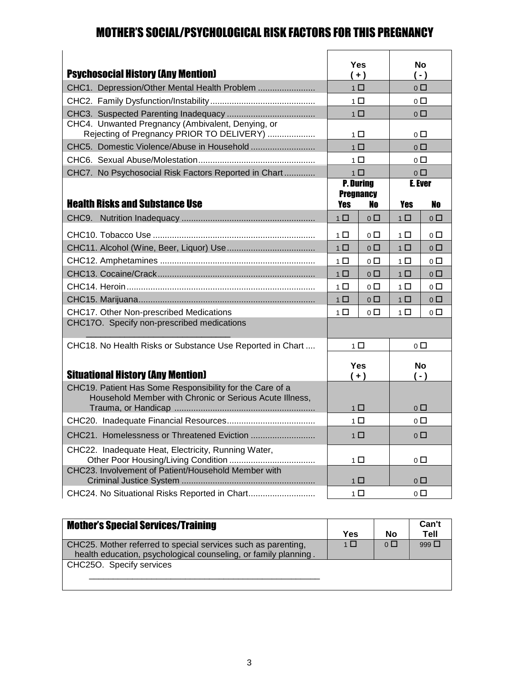#### MOTHER'S SOCIAL/PSYCHOLOGICAL RISK FACTORS FOR THIS PREGNANCY

| <b>Psychosocial History (Any Mention)</b>                                                                           |                         | Yes<br>$(+)$                  | $(-)$                 | No                            |
|---------------------------------------------------------------------------------------------------------------------|-------------------------|-------------------------------|-----------------------|-------------------------------|
| CHC1. Depression/Other Mental Health Problem                                                                        |                         | 1 <sup>1</sup>                | 0 <sub>0</sub>        |                               |
|                                                                                                                     |                         | 1 □                           |                       | $\overline{0}$ $\Box$         |
|                                                                                                                     |                         | $1\Box$                       |                       | $\overline{0}$ $\overline{1}$ |
| CHC4. Unwanted Pregnancy (Ambivalent, Denying, or<br>Rejecting of Pregnancy PRIOR TO DELIVERY)                      |                         | 1 □                           | $\overline{0}$ $\Box$ |                               |
|                                                                                                                     |                         | $1 \Box$                      | $0\Box$               |                               |
|                                                                                                                     |                         | $1\Box$                       | $\overline{0}$ $\Box$ |                               |
| CHC7. No Psychosocial Risk Factors Reported in Chart                                                                |                         | $1 \Box$                      |                       | 0 <sup>0</sup>                |
| <b>Health Risks and Substance Use</b>                                                                               | <b>Pregnancy</b><br>Yes | <b>P. During</b><br>No        | <b>E.</b> Ever<br>Yes | No                            |
| CHC <sub>9</sub> .                                                                                                  | 1 <sup>1</sup>          | $\overline{0}$ $\overline{1}$ | 1 <sup>1</sup>        | $\overline{0}$ $\Box$         |
|                                                                                                                     | 1 □                     | $0\Box$                       | 1 □                   | $\overline{0}$ $\Box$         |
|                                                                                                                     | 1 <sup>1</sup>          | $\overline{0}$ $\overline{1}$ | 1 <sup>1</sup>        | 0 <sub>0</sub>                |
|                                                                                                                     | $1 \Box$                | $0\Box$                       | $1\Box$               | $0\Box$                       |
|                                                                                                                     | $1\Box$                 | $0\Box$                       | $1\Box$               | $0\Box$                       |
|                                                                                                                     | 1 <sup>1</sup>          | 0 □                           | 1 <sup>1</sup>        | $\overline{0}$ $\Box$         |
|                                                                                                                     | $1\Box$                 | $\overline{0}$ $\overline{1}$ | $1\Box$               | $\overline{0}$ $\Box$         |
| CHC17. Other Non-prescribed Medications                                                                             | 1 <sup>1</sup>          | $\overline{0}$ $\Box$         | 1 <sup>1</sup>        | 0 <sup>0</sup>                |
| CHC17O. Specify non-prescribed medications                                                                          |                         |                               |                       |                               |
| CHC18. No Health Risks or Substance Use Reported in Chart                                                           |                         | $1\Box$                       | $0\Box$               |                               |
| <b>Situational History (Any Mention)</b>                                                                            |                         | Yes<br>$(+)$                  | $(-)$                 | <b>No</b>                     |
| CHC19. Patient Has Some Responsibility for the Care of a<br>Household Member with Chronic or Serious Acute Illness, |                         | $1\Box$                       | $0\Box$               |                               |
|                                                                                                                     |                         | $1\Box$                       | $\overline{0}$ $\Box$ |                               |
|                                                                                                                     |                         | $1\Box$                       | 0 <sub>0</sub>        |                               |
| CHC22. Inadequate Heat, Electricity, Running Water,                                                                 |                         | $1\Box$                       | 0 □                   |                               |
| CHC23. Involvement of Patient/Household Member with                                                                 |                         | $1$ $\Box$                    | $\circ$ $\square$     |                               |
| CHC24. No Situational Risks Reported in Chart                                                                       |                         | $1\Box$                       | $\overline{0}$ $\Box$ |                               |

| <b>Mother's Special Services/Training</b>                                                                                        | <b>Yes</b>     | No             | Can't<br>Tell |
|----------------------------------------------------------------------------------------------------------------------------------|----------------|----------------|---------------|
| CHC25. Mother referred to special services such as parenting,<br>health education, psychological counseling, or family planning. | 1 <sup>1</sup> | 0 <sup>0</sup> | 999 $\Box$    |
| CHC25O. Specify services                                                                                                         |                |                |               |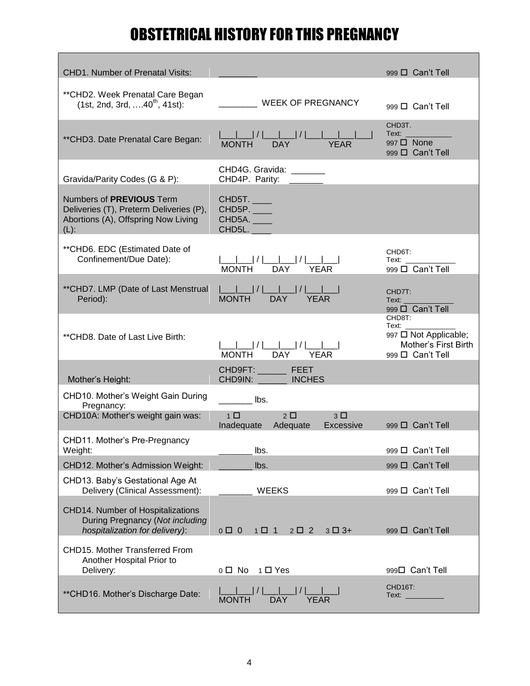# OBSTETRICAL HISTORY FOR THIS PREGNANCY

| <b>CHD1. Number of Prenatal Visits:</b>                                                                                      |                                                                     | 999 D Can't Tell                                                                                                                                                                                                                                                                       |
|------------------------------------------------------------------------------------------------------------------------------|---------------------------------------------------------------------|----------------------------------------------------------------------------------------------------------------------------------------------------------------------------------------------------------------------------------------------------------------------------------------|
| ** CHD2. Week Prenatal Care Began<br>$(1st, 2nd, 3rd, \ldots 40^{th}, 41st)$ :                                               | ____ WEEK OF PREGNANCY                                              | 999 D Can't Tell                                                                                                                                                                                                                                                                       |
| ** CHD3. Date Prenatal Care Began:                                                                                           |                                                                     | CHD3T.<br><b>Text:</b> The contract of the contract of the contract of the contract of the contract of the contract of the contract of the contract of the contract of the contract of the contract of the contract of the contract of the co<br>997 <b>D</b> None<br>999 O Can't Tell |
| Gravida/Parity Codes (G & P):                                                                                                | CHD4G. Gravida: _______<br>CHD4P. Parity: _______                   |                                                                                                                                                                                                                                                                                        |
| Numbers of <b>PREVIOUS</b> Term<br>Deliveries (T), Preterm Deliveries (P),<br>Abortions (A), Offspring Now Living<br>$(L)$ : | <b>CHD5T.</b><br><b>CHD5P.</b> ___<br><b>CHD5A.</b><br>CHD5L.       |                                                                                                                                                                                                                                                                                        |
| ** CHD6. EDC (Estimated Date of<br>Confinement/Due Date):                                                                    | ___ ___  /  ___ ___  /  ___ ___ <br> MONTH         DAY         YEAR | CHD6T:<br>Text:<br>999 D Can't Tell                                                                                                                                                                                                                                                    |
| ** CHD7. LMP (Date of Last Menstrual<br>Period):                                                                             |                                                                     | CHD7T:<br>Text:<br>999 D Can't Tell                                                                                                                                                                                                                                                    |
| ** CHD8. Date of Last Live Birth:                                                                                            | ___ ___  /  ___ ___  /  ___ __<br> MONTH          DAY          YEAR | CHD8T:<br>Text: ________<br>997 □ Not Applicable;<br>Mother's First Birth<br>999 D Can't Tell                                                                                                                                                                                          |
| Mother's Height:                                                                                                             | CHD9FT: ____________ FEET<br>CHD9IN: INCHES                         |                                                                                                                                                                                                                                                                                        |
| CHD10. Mother's Weight Gain During<br>Pregnancy:                                                                             | <b>Example 1</b> Ibs.                                               |                                                                                                                                                                                                                                                                                        |
| CHD10A: Mother's weight gain was:                                                                                            | $1 \Box$<br>$2\Box$<br>$3\Box$<br>Inadequate Adequate<br>Excessive  | 999 $\Box$ Can't Tell                                                                                                                                                                                                                                                                  |
| CHD11. Mother's Pre-Pregnancy<br>Weight:                                                                                     | lbs.                                                                | 999 D Can't Tell                                                                                                                                                                                                                                                                       |
| CHD12. Mother's Admission Weight:                                                                                            | lbs.                                                                | 999 D Can't Tell                                                                                                                                                                                                                                                                       |
| CHD13. Baby's Gestational Age At<br>Delivery (Clinical Assessment):                                                          | <b>WEEKS</b>                                                        | 999 $\Box$ Can't Tell                                                                                                                                                                                                                                                                  |
| CHD14. Number of Hospitalizations<br>During Pregnancy (Not including<br>hospitalization for delivery):                       | $0 \Box 0$<br>$1 \Box 1$<br>$2 \Box 2$<br>$3\Box 3+$                | 999 □ Can't Tell                                                                                                                                                                                                                                                                       |
| CHD15. Mother Transferred From<br>Another Hospital Prior to<br>Delivery:                                                     | 0□ No 1□ Yes                                                        | 999□ Can't Tell                                                                                                                                                                                                                                                                        |
| ** CHD16. Mother's Discharge Date:                                                                                           | $ / $ $ $<br><b>DAY</b><br><b>YEAR</b><br><b>MONTH</b>              | CHD16T:<br>Text: _________                                                                                                                                                                                                                                                             |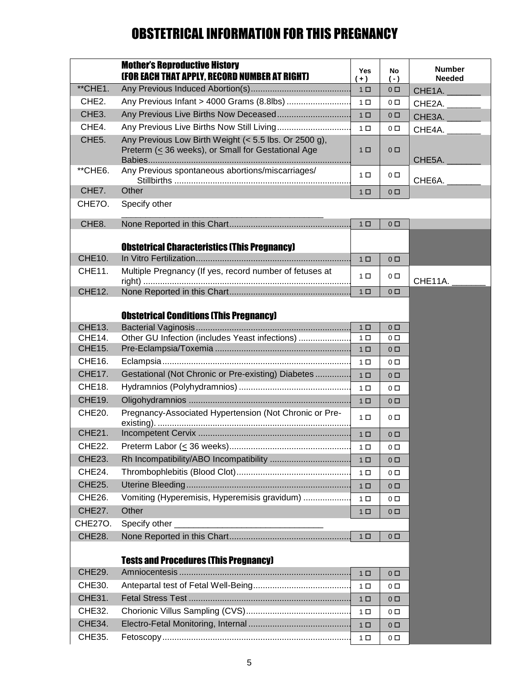## OBSTETRICAL INFORMATION FOR THIS PREGNANCY

|                         | <b>Mother's Reproductive History</b><br><b>(FOR EACH THAT APPLY, RECORD NUMBER AT RIGHT)</b>                | Yes<br>$+$ )                     | No<br>$(-)$                      | <b>Number</b><br><b>Needed</b> |
|-------------------------|-------------------------------------------------------------------------------------------------------------|----------------------------------|----------------------------------|--------------------------------|
| **CHE1.                 |                                                                                                             | 1 <sub>0</sub>                   | 0 <sub>0</sub>                   | CHE1A.                         |
| CHE <sub>2</sub> .      | Any Previous Infant > 4000 Grams (8.8lbs)                                                                   | 1 <sub>0</sub>                   | $0\Box$                          | CHE2A.                         |
| CHE <sub>3</sub> .      |                                                                                                             | 1 <sub>0</sub>                   | $0$ $\square$                    | CHE3A.                         |
| CHE4.                   | Any Previous Live Births Now Still Living                                                                   | 1 <sub>0</sub>                   | 0 <sub>0</sub>                   | CHE4A.                         |
| CHE <sub>5</sub> .      | Any Previous Low Birth Weight (< 5.5 lbs. Or 2500 g),<br>Preterm (< 36 weeks), or Small for Gestational Age | 1 <sub>0</sub>                   | $0\Box$                          | CHE5A.                         |
| **CHE6.                 | Any Previous spontaneous abortions/miscarriages/                                                            | 1 <sub>0</sub>                   | $0\Box$                          | CHE6A.                         |
| CHE7.                   | Other                                                                                                       | 1 <sup>D</sup>                   | $0\Box$                          |                                |
| CHE7O.                  | Specify other                                                                                               |                                  |                                  |                                |
| CHE8.                   |                                                                                                             | 1 <sub>0</sub>                   | 0 <sub>0</sub>                   |                                |
| <b>CHE10.</b>           | <b>Obstetrical Characteristics (This Pregnancy)</b>                                                         | 1 <sup>D</sup>                   | 0 <sub>0</sub>                   |                                |
| <b>CHE11.</b>           | Multiple Pregnancy (If yes, record number of fetuses at                                                     |                                  |                                  |                                |
|                         |                                                                                                             | 1 <sub>0</sub>                   | $0\Box$                          | CHE11A.                        |
| CHE12.                  |                                                                                                             | 1 <sub>0</sub>                   | 0 <sub>0</sub>                   |                                |
|                         |                                                                                                             |                                  |                                  |                                |
|                         | <b>Obstetrical Conditions (This Pregnancy)</b>                                                              |                                  |                                  |                                |
| <b>CHE13.</b><br>CHE14. | Other GU Infection (includes Yeast infections)                                                              | 1 <sub>0</sub><br>1 <sub>0</sub> | 0 <sub>0</sub><br>0 <sub>0</sub> |                                |
| <b>CHE15.</b>           |                                                                                                             | 1 <sub>0</sub>                   | 0 <sub>0</sub>                   |                                |
| CHE16.                  |                                                                                                             | 1 <sub>0</sub>                   | $0\Box$                          |                                |
| <b>CHE17.</b>           | Gestational (Not Chronic or Pre-existing) Diabetes                                                          | 1 <sub>0</sub>                   | $0\Box$                          |                                |
| <b>CHE18.</b>           |                                                                                                             | 1 <sub>0</sub>                   | 0 <sub>0</sub>                   |                                |
| <b>CHE19.</b>           |                                                                                                             | 1 <sup>D</sup>                   | $0\Box$                          |                                |
| CHE20.                  | Pregnancy-Associated Hypertension (Not Chronic or Pre-                                                      | $1 \Box$                         | $0\Box$                          |                                |
| CHE21.                  |                                                                                                             | 1 <sub>0</sub>                   | 0 <sub>0</sub>                   |                                |
| CHE22.                  |                                                                                                             | 1 □                              | 0 □                              |                                |
| <b>CHE23.</b>           |                                                                                                             | 1 <sub>0</sub>                   | $0\Box$                          |                                |
| CHE24.                  |                                                                                                             | $1 \Box$                         | 0 □                              |                                |
| <b>CHE25.</b>           |                                                                                                             | $1 \Box$                         | 0 <sub>0</sub>                   |                                |
| CHE26.                  | Vomiting (Hyperemisis, Hyperemisis gravidum)                                                                | $1 \Box$                         | $0\Box$                          |                                |
| CHE27.                  | Other                                                                                                       | $1 \Box$                         | $0\Box$                          |                                |
| <b>CHE270.</b>          | Specify other                                                                                               |                                  |                                  |                                |
| <b>CHE28.</b>           |                                                                                                             | $1$ $\Box$                       | $0\Box$                          |                                |
|                         | <b>Tests and Procedures (This Pregnancy)</b>                                                                |                                  |                                  |                                |
| <b>CHE29.</b>           |                                                                                                             | 1 <sub>0</sub>                   | $0\Box$                          |                                |
| CHE30.                  |                                                                                                             | 1 <sub>0</sub>                   | $0\Box$                          |                                |
| <b>CHE31.</b>           |                                                                                                             | $1 \Box$                         | $0\Box$                          |                                |
| CHE32.                  |                                                                                                             | $1 \Box$                         | $0\Box$                          |                                |
| <b>CHE34.</b>           |                                                                                                             | 1 <sub>0</sub>                   | $0\Box$                          |                                |
| CHE35.                  |                                                                                                             | $1 \Box$                         | $0\Box$                          |                                |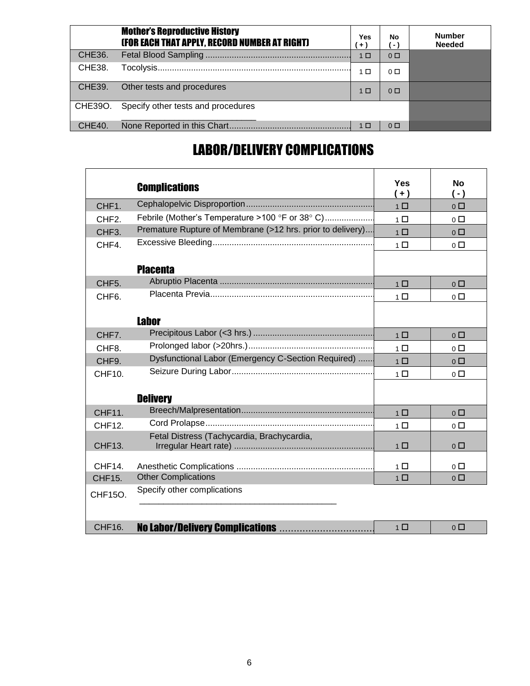|               | <b>Mother's Reproductive History</b><br>(FOR EACH THAT APPLY, RECORD NUMBER AT RIGHT) | <b>Yes</b><br>$+)$ | No<br>- 1      | <b>Number</b><br><b>Needed</b> |
|---------------|---------------------------------------------------------------------------------------|--------------------|----------------|--------------------------------|
| <b>CHE36.</b> |                                                                                       | 1 <sub>0</sub>     | 0 <sub>0</sub> |                                |
| <b>CHE38.</b> |                                                                                       | 1 □                | $0\Box$        |                                |
| <b>CHE39.</b> | Other tests and procedures                                                            | 1 <sub>0</sub>     | 0 <sub>0</sub> |                                |
| CHE39O.       | Specify other tests and procedures                                                    |                    |                |                                |
| CHE40.        |                                                                                       | 1 口                | 0 <sub>0</sub> |                                |

## LABOR/DELIVERY COMPLICATIONS

|                    | <b>Complications</b>                                       | Yes<br>$(+)$   | <b>No</b><br>$(-)$    |
|--------------------|------------------------------------------------------------|----------------|-----------------------|
| CHF <sub>1</sub> . |                                                            | 1 <sup>1</sup> | 0 <sub>0</sub>        |
| CHF <sub>2</sub> . | Febrile (Mother's Temperature >100 °F or 38° C)            | $1\Box$        | 0 <sub>0</sub>        |
| CHF <sub>3</sub> . | Premature Rupture of Membrane (>12 hrs. prior to delivery) | $1\Box$        | 0 <sub>0</sub>        |
| CHF4.              |                                                            | $1\Box$        | $0\Box$               |
|                    | <b>Placenta</b>                                            |                |                       |
| CHF <sub>5</sub> . |                                                            | $1\Box$        | 0 <sub>0</sub>        |
| CHF <sub>6</sub> . |                                                            | $1\Box$        | $0\Box$               |
|                    | <b>Labor</b>                                               |                |                       |
| CHF7.              |                                                            | $1\Box$        | 0 <sub>0</sub>        |
| CHF <sub>8</sub> . |                                                            | $1\Box$        | $0\Box$               |
| CHF <sub>9</sub> . | Dysfunctional Labor (Emergency C-Section Required)         | $1\Box$        | 0 <sup>0</sup>        |
| CHF10.             |                                                            | $1\Box$        | 0 <sub>0</sub>        |
|                    | <b>Delivery</b>                                            |                |                       |
| <b>CHF11.</b>      |                                                            | $1\Box$        | 0 <sub>0</sub>        |
| CHF12.             |                                                            | $1 \Box$       | $0\Box$               |
| <b>CHF13.</b>      | Fetal Distress (Tachycardia, Brachycardia,                 | $1$ $\Box$     | $0\Box$               |
| CHF14.             |                                                            | $1\Box$        | 0 <sub>0</sub>        |
| <b>CHF15.</b>      | <b>Other Complications</b>                                 | 1 <sup>1</sup> | $\overline{0}$        |
| CHF15O.            | Specify other complications                                |                |                       |
| <b>CHF16.</b>      | No Labor/Delivery Complications                            | 1 <sup>1</sup> | $\overline{0}$ $\Box$ |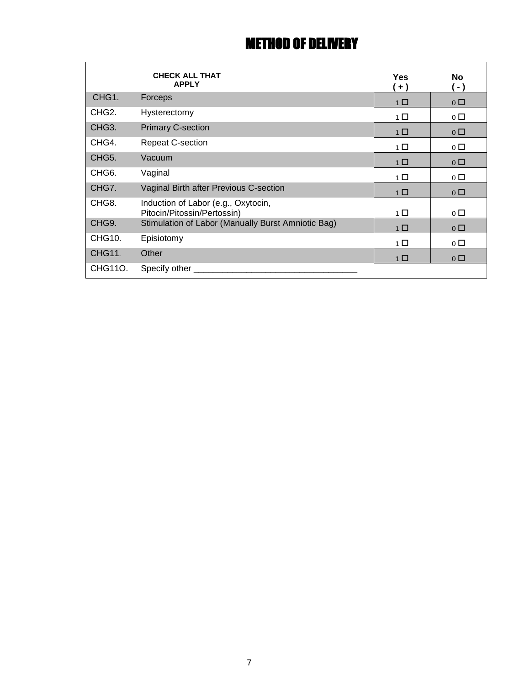### METHOD OF DELIVERY

|                    | <b>CHECK ALL THAT</b><br><b>APPLY</b>                              | <b>Yes</b><br>$+ )$ | No.<br>$-$ )   |
|--------------------|--------------------------------------------------------------------|---------------------|----------------|
| CHG <sub>1</sub> . | Forceps                                                            | $1\Box$             | $0\Box$        |
| CHG <sub>2</sub> . | Hysterectomy                                                       | $1 \Box$            | $0\Box$        |
| CHG <sub>3</sub> . | <b>Primary C-section</b>                                           | $1\Box$             | $0\Box$        |
| CHG4.              | <b>Repeat C-section</b>                                            | 1 □                 | $0\Box$        |
| CHG5.              | Vacuum                                                             | $1\Box$             | $0\Box$        |
| CHG <sub>6</sub> . | Vaginal                                                            | $1 \Box$            | $0\Box$        |
| CHG7.              | Vaginal Birth after Previous C-section                             | 1 <sup>1</sup>      | 0 <sup>0</sup> |
| CHG8.              | Induction of Labor (e.g., Oxytocin,<br>Pitocin/Pitossin/Pertossin) | $1 \Box$            | $\circ$ $\Box$ |
| CHG9.              | Stimulation of Labor (Manually Burst Amniotic Bag)                 | 1 <sup>1</sup>      | $0\Box$        |
| CHG10.             | Episiotomy                                                         | $1\Box$             | $0\Box$        |
| <b>CHG11.</b>      | Other                                                              | 1 □                 | $0\Box$        |
| CHG110.            | Specify other                                                      |                     |                |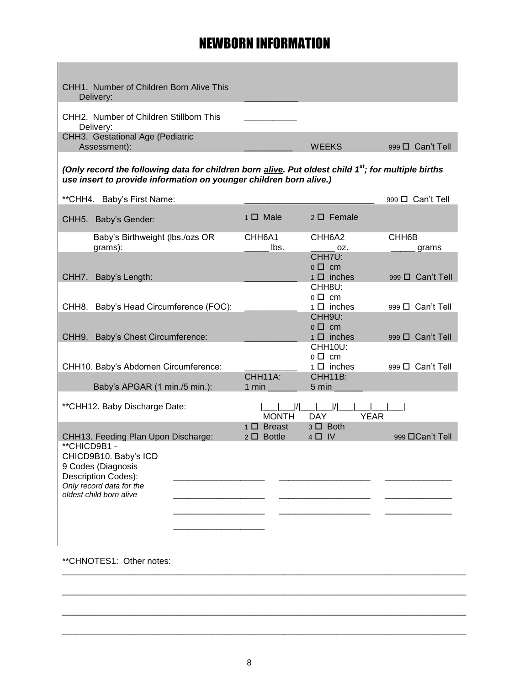#### NEWBORN INFORMATION

| CHH1. Number of Children Born Alive This<br>Delivery:                                                                                                                                 |                                         |                                         |                             |
|---------------------------------------------------------------------------------------------------------------------------------------------------------------------------------------|-----------------------------------------|-----------------------------------------|-----------------------------|
| CHH2. Number of Children Stillborn This<br>Delivery:                                                                                                                                  |                                         |                                         |                             |
| CHH3. Gestational Age (Pediatric<br>Assessment):                                                                                                                                      |                                         | <b>WEEKS</b>                            | 999 □ Can't Tell            |
| (Only record the following data for children born alive. Put oldest child 1 <sup>st</sup> ; for multiple births<br>use insert to provide information on younger children born alive.) |                                         |                                         |                             |
| ** CHH4. Baby's First Name:                                                                                                                                                           |                                         |                                         | 999 D Can't Tell            |
| CHH5. Baby's Gender:                                                                                                                                                                  | $1 \Box$ Male                           | $2 \Box$ Female                         |                             |
| Baby's Birthweight (lbs./ozs OR<br>grams):                                                                                                                                            | CHH <sub>6</sub> A <sub>1</sub><br>lbs. | CHH6A2<br>OZ.                           | CHH <sub>6</sub> B<br>grams |
|                                                                                                                                                                                       |                                         | CHH7U:<br>$0 \Box$ cm                   |                             |
| CHH7. Baby's Length:                                                                                                                                                                  |                                         | $1 \Box$ inches<br>CHH8U:               | 999 $\Box$ Can't Tell       |
| CHH8. Baby's Head Circumference (FOC):                                                                                                                                                |                                         | $0 \Box$ cm<br>$1 \Box$ inches          | 999 D Can't Tell            |
|                                                                                                                                                                                       |                                         | CHH9U:<br>$0 \Box$ cm                   |                             |
| CHH9. Baby's Chest Circumference:                                                                                                                                                     |                                         | $1 \Box$ inches<br>CHH <sub>10U</sub> : | 999 □ Can't Tell            |
| CHH10. Baby's Abdomen Circumference:                                                                                                                                                  |                                         | $0 \Box$ cm<br>$1 \Box$ inches          | 999 □ Can't Tell            |
|                                                                                                                                                                                       | CHH11A:                                 | CHH11B:                                 |                             |
| Baby's APGAR (1 min./5 min.):                                                                                                                                                         | $1$ min                                 | 5 min                                   |                             |
| ** CHH12. Baby Discharge Date:                                                                                                                                                        | <b>MONTH</b>                            | <b>YEAR</b><br><b>DAY</b>               |                             |
| CHH13. Feeding Plan Upon Discharge:                                                                                                                                                   | $1 \Box$ Breast<br>2 □ Bottle           | $3 \Box$ Both<br>$4 \Box$ IV            | 999 □ Can't Tell            |
| **CHICD9B1-<br>CHICD9B10. Baby's ICD                                                                                                                                                  |                                         |                                         |                             |
| 9 Codes (Diagnosis<br>Description Codes):                                                                                                                                             |                                         |                                         |                             |
| Only record data for the<br>oldest child born alive                                                                                                                                   |                                         |                                         |                             |
|                                                                                                                                                                                       |                                         |                                         |                             |
|                                                                                                                                                                                       |                                         |                                         |                             |
|                                                                                                                                                                                       |                                         |                                         |                             |

\*\*CHNOTES1: Other notes:

\_\_\_\_\_\_\_\_\_\_\_\_\_\_\_\_\_\_\_\_\_\_\_\_\_\_\_\_\_\_\_\_\_\_\_\_\_\_\_\_\_\_\_\_\_\_\_\_\_\_\_\_\_\_\_\_\_\_\_\_\_\_\_\_\_\_\_\_\_\_\_\_\_\_\_\_\_\_\_\_\_\_\_\_

\_\_\_\_\_\_\_\_\_\_\_\_\_\_\_\_\_\_\_\_\_\_\_\_\_\_\_\_\_\_\_\_\_\_\_\_\_\_\_\_\_\_\_\_\_\_\_\_\_\_\_\_\_\_\_\_\_\_\_\_\_\_\_\_\_\_\_\_\_\_\_\_\_\_\_\_\_\_\_\_\_\_\_\_

\_\_\_\_\_\_\_\_\_\_\_\_\_\_\_\_\_\_\_\_\_\_\_\_\_\_\_\_\_\_\_\_\_\_\_\_\_\_\_\_\_\_\_\_\_\_\_\_\_\_\_\_\_\_\_\_\_\_\_\_\_\_\_\_\_\_\_\_\_\_\_\_\_\_\_\_\_\_\_\_\_\_\_\_

\_\_\_\_\_\_\_\_\_\_\_\_\_\_\_\_\_\_\_\_\_\_\_\_\_\_\_\_\_\_\_\_\_\_\_\_\_\_\_\_\_\_\_\_\_\_\_\_\_\_\_\_\_\_\_\_\_\_\_\_\_\_\_\_\_\_\_\_\_\_\_\_\_\_\_\_\_\_\_\_\_\_\_\_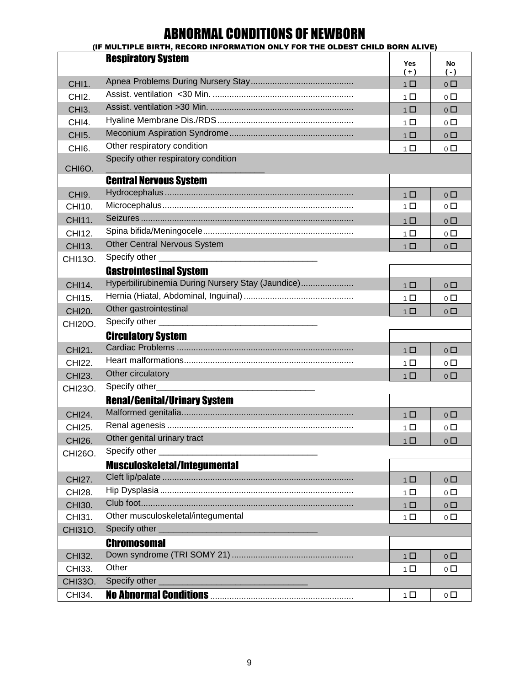## ABNORMAL CONDITIONS OF NEWBORN

|                     | (IF MULTIPLE BIRTH, RECORD INFORMATION ONLY FOR THE OLDEST CHILD BORN ALIVE)                                                            |                |                       |
|---------------------|-----------------------------------------------------------------------------------------------------------------------------------------|----------------|-----------------------|
|                     | <b>Respiratory System</b>                                                                                                               | Yes<br>$(+)$   | No<br>$(-)$           |
| CHI1.               |                                                                                                                                         | $1 \Box$       | 0 <sub>0</sub>        |
| CHI <sub>2</sub> .  |                                                                                                                                         | $1\Box$        | $0\Box$               |
| CHI <sub>3</sub> .  |                                                                                                                                         | $1 \Box$       | 0 <sub>0</sub>        |
| CHI4.               |                                                                                                                                         | 1 □            | $\overline{0}$ $\Box$ |
| CHI <sub>5</sub> .  |                                                                                                                                         | $1 \Box$       | 0 <sub>0</sub>        |
| CHI <sub>6</sub> .  | Other respiratory condition                                                                                                             | $1 \Box$       | $\overline{0}$ $\Box$ |
| CHI <sub>60</sub> . | Specify other respiratory condition                                                                                                     |                |                       |
|                     | <b>Central Nervous System</b>                                                                                                           |                |                       |
| CHI <sub>9</sub> .  |                                                                                                                                         | $1\Box$        | $0\Box$               |
| CHI10.              |                                                                                                                                         | $1\Box$        | $\overline{0}$ $\Box$ |
| CHI11.              |                                                                                                                                         | 1 <sup>1</sup> | $0\Box$               |
| CHI12.              |                                                                                                                                         | $1\Box$        | $\overline{0}$ $\Box$ |
| <b>CHI13.</b>       | Other Central Nervous System                                                                                                            | $1$ $\Box$     | $\overline{0}$ $\Box$ |
| CHI13O.             |                                                                                                                                         |                |                       |
|                     | <b>Gastrointestinal System</b>                                                                                                          |                |                       |
| CHI14.              | Hyperbilirubinemia During Nursery Stay (Jaundice)                                                                                       | $1 \Box$       | 0 <sub>0</sub>        |
| CHI15.              |                                                                                                                                         | $1\Box$        | $\overline{0}$ $\Box$ |
| <b>CHI20.</b>       | Other gastrointestinal                                                                                                                  | $1\Box$        | $\overline{0}$ $\Box$ |
| <b>CHI20O.</b>      | Specify other ______________                                                                                                            |                |                       |
|                     | <b>Circulatory System</b>                                                                                                               |                |                       |
| CHI21.              |                                                                                                                                         | $1 \Box$       | 0 <sub>0</sub>        |
| CHI22.              |                                                                                                                                         | $1$ $\Box$     | $\overline{0}$ $\Box$ |
| <b>CHI23.</b>       | Other circulatory                                                                                                                       | $1$ $\Box$     | $0$ $\Box$            |
| <b>CHI23O.</b>      |                                                                                                                                         |                |                       |
|                     | <b>Renal/Genital/Urinary System</b>                                                                                                     |                |                       |
| <b>CHI24.</b>       |                                                                                                                                         | $1\Box$        | $0\Box$               |
| <b>CHI25.</b>       |                                                                                                                                         | $1 \Box$       | $\overline{0}$ $\Box$ |
| <b>CHI26.</b>       | Other genital urinary tract                                                                                                             | 1 <sup>1</sup> | $0\Box$               |
| <b>CHI26O.</b>      | Specify other _                                                                                                                         |                |                       |
|                     | <b>Musculoskeletal/Integumental</b>                                                                                                     |                |                       |
| <b>CHI27.</b>       |                                                                                                                                         | $1 \Box$       | 0 <sub>0</sub>        |
| <b>CHI28.</b>       |                                                                                                                                         | $1\Box$        | $0\Box$               |
| <b>CHI30.</b>       |                                                                                                                                         | $1 \Box$       | 0 <sub>0</sub>        |
| CHI31.              | Other musculoskeletal/integumental                                                                                                      | $1\Box$        | $\overline{0}$ $\Box$ |
| <b>CHI31O.</b>      |                                                                                                                                         |                |                       |
|                     | <b>Chromosomal</b>                                                                                                                      |                |                       |
| CHI32.              |                                                                                                                                         | $1$ $\Box$     | 0 <sub>0</sub>        |
| CHI33.              | Other                                                                                                                                   | $1 \Box$       | $0\Box$               |
| <b>CHI33O.</b>      | Specify other _<br><u> 1989 - Johann Barn, mars ar breithinn ar breithinn ar breithinn ar breithinn ar breithinn ar breithinn ar br</u> |                |                       |
| CHI34.              |                                                                                                                                         | $1 \Box$       | $0\Box$               |